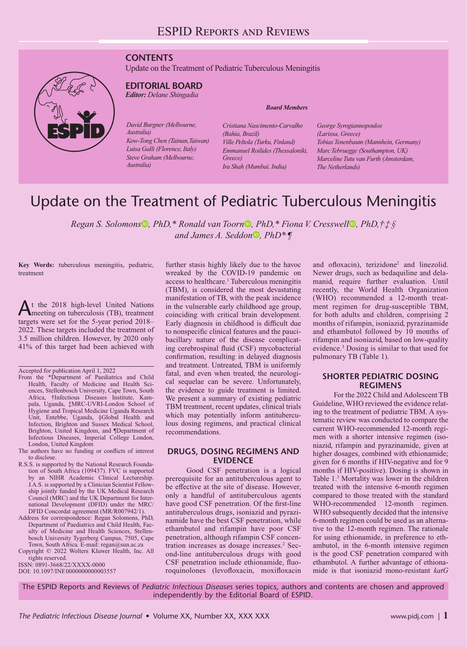## **CONTENTS**

Update on the Treatment of Pediatric Tuberculous Meningitis



## **EDITORIAL BOARD**

*Editor: Delane Shingadia*

*David Burgner (Melbourne, Australia) Kow-Tong Chen (Tainan,Taiwan) Luisa Galli (Florence, Italy) Steve Graham (Melbourne, Australia)*

*Board Members*

*Cristiana Nascimento-Carvalho (Bahia, Brazil) Ville Peltola (Turku, Finland) Emmanuel Roilides (Thessaloniki, Greece) Ira Shah (Mumbai, India)*

*George Syrogiannopoulos (Larissa, Greece) Tobias Tenenbaum (Mannhein, Germany) Marc Tebruegge (Southampton, UK) Marceline Tutu van Furth (Amsterdam, The Netherlands)*

# Update on the Treatment of Pediatric Tuberculous Meningitis

*Rega[n](https://orcid.org/0000-0002-2689-065X) S. Solomons*<sup>®</sup>[,](https://orcid.org/0000-0002-5070-532X) *PhD,\* Ronald van Toorn®, PhD,\* Fiona V. Cresswell<sup>®</sup>, <i>PhD,†‡§ and James A. Seddo[n](https://orcid.org/0000-0002-2296-2302) , PhD\*, ¶* 

**Key Words:** tuberculous meningitis, pediatric, treatment

At the 2018 high-level United Nations meeting on tuberculosis (TB), treatment targets were set for the 5-year period 2018– 2022. These targets included the treatment of 3.5 million children. However, by 2020 only 41% of this target had been achieved with

Accepted for publication April 1, 2022

- From the \*Department of Paediatrics and Child Health, Faculty of Medicine and Health Sciences, Stellenbosch University, Cape Town, South Africa, †Infectious Diseases Institute, Kampala, Uganda, ‡MRC-UVRI-London School of Hygiene and Tropical Medicine Uganda Research Unit, Entebbe, Uganda, §Global Health and Infection, Brighton and Sussex Medical School, Brighton, United Kingdom, and ¶Department of Infectious Diseases, Imperial College London, London, United Kingdom
- The authors have no funding or conflicts of interest to disclose.
- R.S.S. is supported by the National Research Foundation of South Africa (109437). FVC is supported by an NIHR Academic Clinical Lectureship. J.A.S. is supported by a Clinician Scientist Fellowship jointly funded by the UK Medical Research Council (MRC) and the UK Department for International Development (DFID) under the MRC/ DFID Concordat agreement (MR/R007942/1).
- Address for correspondence: Regan Solomons, PhD, Department of Paediatrics and Child Health, Faculty of Medicine and Health Sciences, Stellenbosch University Tygerberg Campus, 7505, Cape

Town, South Africa. E-mail: [regan@sun.ac.za](mailto:regan@sun.ac.za) Copyright © 2022 Wolters Kluwer Health, Inc. All rights reserved.

ISSN: 0891-3668/22/XXXX-0000

DOI: 10.1097/INF.0000000000003557

further stasis highly likely due to the havoc wreaked by the COVID-19 pandemic on access to healthcare.<sup>1</sup> Tuberculous meningitis (TBM), is considered the most devastating manifestation of TB, with the peak incidence in the vulnerable early childhood age group, coinciding with critical brain development. Early diagnosis in childhood is difficult due to nonspecific clinical features and the paucibacillary nature of the disease complicating cerebrospinal fluid (CSF) mycobacterial confirmation, resulting in delayed diagnosis and treatment. Untreated, TBM is uniformly fatal, and even when treated, the neurological sequelae can be severe. Unfortunately, the evidence to guide treatment is limited. We present a summary of existing pediatric TBM treatment, recent updates, clinical trials which may potentially inform antituberculous dosing regimens, and practical clinical recommendations.

## **DRUGS, DOSING REGIMENS AND EVIDENCE**

Good CSF penetration is a logical prerequisite for an antituberculous agent to be effective at the site of disease. However, only a handful of antituberculous agents have good CSF penetration. Of the first-line antituberculous drugs, isoniazid and pyrazinamide have the best CSF penetration, while ethambutol and rifampin have poor CSF penetration, although rifampin CSF concentration increases as dosage increases.<sup>2</sup> Second-line antituberculous drugs with good CSF penetration include ethionamide, fluoroquinolones (levofloxacin, moxifloxacin

and ofloxacin), terizidone<sup>2</sup> and linezolid. Newer drugs, such as bedaquiline and delamanid, require further evaluation. Until recently, the World Health Organization (WHO) recommended a 12-month treatment regimen for drug-susceptible TBM, for both adults and children, comprising 2 months of rifampin, isoniazid, pyrazinamide and ethambutol followed by 10 months of rifampin and isoniazid, based on low-quality evidence.3 Dosing is similar to that used for pulmonary TB (Table 1).

#### **SHORTER PEDIATRIC DOSING REGIMENS**

For the 2022 Child and Adolescent TB Guideline, WHO reviewed the evidence relating to the treatment of pediatric TBM. A systematic review was conducted to compare the current WHO-recommended 12-month regimen with a shorter intensive regimen (isoniazid, rifampin and pyrazinamide, given at higher dosages, combined with ethionamide; given for 6 months if HIV-negative and for 9 months if HIV-positive). Dosing is shown in Table 1.3 Mortality was lower in the children treated with the intensive 6-month regimen compared to those treated with the standard WHO-recommended 12-month regimen. WHO subsequently decided that the intensive 6-month regimen could be used as an alternative to the 12-month regimen. The rationale for using ethionamide, in preference to ethambutol, in the 6-month intensive regimen is the good CSF penetration compared with ethambutol. A further advantage of ethionamide is that isoniazid mono-resistant *katG*

The ESPID Reports and Reviews of *Pediatric Infectious Diseases* series topics, authors and contents are chosen and approved independently by the Editorial Board of ESPID.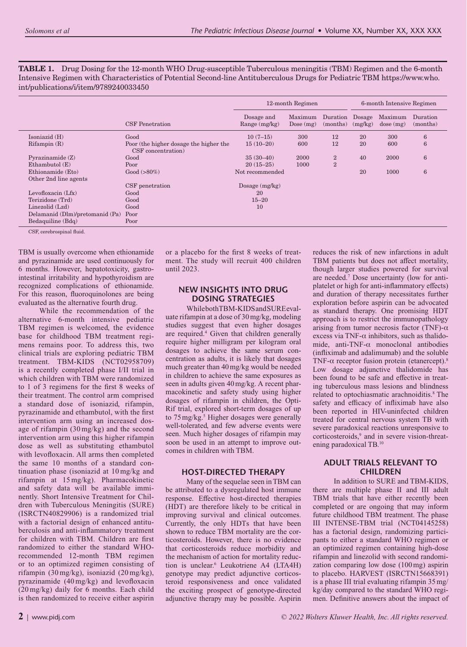**TABLE 1.** Drug Dosing for the 12-month WHO Drug-susceptible Tuberculous meningitis (TBM) Regimen and the 6-month Intensive Regimen with Characteristics of Potential Second-line Antituberculous Drugs for Pediatric TBM [https://www.who.](https://www.who.int/publications/i/item/9789240033450) [int/publications/i/item/9789240033450](https://www.who.int/publications/i/item/9789240033450)

|                                 |                                                              | 12-month Regimen              |                        |                      | 6-month Intensive Regimen |                     |                      |
|---------------------------------|--------------------------------------------------------------|-------------------------------|------------------------|----------------------|---------------------------|---------------------|----------------------|
|                                 | <b>CSF</b> Penetration                                       | Dosage and<br>Range $(mg/kg)$ | Maximum<br>Dose $(mg)$ | Duration<br>(months) | Dosage<br>(mg/kg)         | Maximum<br>dose(mg) | Duration<br>(months) |
| Isoniazid (H)                   | Good                                                         | $10(7-15)$                    | 300                    | 12                   | 20                        | 300                 | 6                    |
| Rifampin(R)                     | Poor (the higher dosage the higher the<br>CSF concentration) | $15(10-20)$                   | 600                    | 12                   | 20                        | 600                 | 6                    |
| Pyrazinamide $(Z)$              | Good                                                         | $35(30-40)$                   | 2000                   | $\overline{2}$       | 40                        | 2000                | $6\phantom{1}6$      |
| Ethambutol(E)                   | Poor                                                         | $20(15-25)$                   | 1000                   | $\overline{2}$       |                           |                     |                      |
| Ethionamide (Eto)               | $Good (>80\%)$                                               | Not recommended               |                        |                      | 20                        | 1000                | 6                    |
| Other 2nd line agents           |                                                              |                               |                        |                      |                           |                     |                      |
|                                 | CSF penetration                                              | Dosage $(mg/kg)$              |                        |                      |                           |                     |                      |
| Levofloxacin (Lfx)              | Good                                                         | 20                            |                        |                      |                           |                     |                      |
| Terizidone (Trd)                | Good                                                         | $15 - 20$                     |                        |                      |                           |                     |                      |
| Linezolid (Lzd)                 | Good                                                         | 10                            |                        |                      |                           |                     |                      |
| Delamanid (Dlm)/pretomanid (Pa) | Poor                                                         |                               |                        |                      |                           |                     |                      |
| Bedaquiline (Bdq)               | Poor                                                         |                               |                        |                      |                           |                     |                      |

CSF, cerebrospinal fluid.

TBM is usually overcome when ethionamide and pyrazinamide are used continuously for 6 months. However, hepatotoxicity, gastrointestinal irritability and hypothyroidism are recognized complications of ethionamide. For this reason, fluoroquinolones are being evaluated as the alternative fourth drug.

While the recommendation of the alternative 6-month intensive pediatric TBM regimen is welcomed, the evidence base for childhood TBM treatment regimens remains poor. To address this, two clinical trials are exploring pediatric TBM treatment. TBM-KIDS (NCT02958709) is a recently completed phase I/II trial in which children with TBM were randomized to 1 of 3 regimens for the first 8 weeks of their treatment. The control arm comprised a standard dose of isoniazid, rifampin, pyrazinamide and ethambutol, with the first intervention arm using an increased dosage of rifampin (30mg/kg) and the second intervention arm using this higher rifampin dose as well as substituting ethambutol with levofloxacin. All arms then completed the same 10 months of a standard continuation phase (isoniazid at 10 mg/kg and rifampin at 15mg/kg). Pharmacokinetic and safety data will be available imminently. Short Intensive Treatment for Children with Tuberculous Meningitis (SURE) (ISRCTN40829906) is a randomized trial with a factorial design of enhanced antituberculosis and anti-inflammatory treatment for children with TBM. Children are first randomized to either the standard WHOrecommended 12-month TBM regimen or to an optimized regimen consisting of rifampin (30mg/kg), isoniazid (20 mg/kg), pyrazinamide (40mg/kg) and levofloxacin (20mg/kg) daily for 6 months. Each child is then randomized to receive either aspirin

or a placebo for the first 8 weeks of treatment. The study will recruit 400 children until 2023.

## **NEW INSIGHTS INTO DRUG DOSING STRATEGIES**

While both TBM-KIDS and SURE evaluate rifampin at a dose of 30mg/kg, modeling studies suggest that even higher dosages are required.4 Given that children generally require higher milligram per kilogram oral dosages to achieve the same serum concentration as adults, it is likely that dosages much greater than 40mg/kg would be needed in children to achieve the same exposures as seen in adults given 40mg/kg. A recent pharmacokinetic and safety study using higher dosages of rifampin in children, the Opti-Rif trial, explored short-term dosages of up to 75 mg/kg.<sup>5</sup> Higher dosages were generally well-tolerated, and few adverse events were seen. Much higher dosages of rifampin may soon be used in an attempt to improve outcomes in children with TBM.

## **HOST-DIRECTED THERAPY**

Many of the sequelae seen in TBM can be attributed to a dysregulated host immune response. Effective host-directed therapies (HDT) are therefore likely to be critical in improving survival and clinical outcomes. Currently, the only HDTs that have been shown to reduce TBM mortality are the corticosteroids. However, there is no evidence that corticosteroids reduce morbidity and the mechanism of action for mortality reduction is unclear.6 Leukotriene A4 (LTA4H) genotype may predict adjunctive corticosteroid responsiveness and once validated the exciting prospect of genotype-directed adjunctive therapy may be possible. Aspirin

reduces the risk of new infarctions in adult TBM patients but does not affect mortality, though larger studies powered for survival are needed.7 Dose uncertainty (low for antiplatelet or high for anti-inflammatory effects) and duration of therapy necessitates further exploration before aspirin can be advocated as standard therapy. One promising HDT approach is to restrict the immunopathology arising from tumor necrosis factor (TNF)- $\alpha$ excess via TNF- $\alpha$  inhibitors, such as thalidomide, anti-TNF-α monoclonal antibodies (infliximab and adalimumab) and the soluble TNF- $\alpha$  receptor fusion protein (etanercept).<sup>8</sup> Low dosage adjunctive thalidomide has been found to be safe and effective in treating tuberculous mass lesions and blindness related to optochiasmatic arachnoiditis.<sup>8</sup> The safety and efficacy of infliximab have also been reported in HIV-uninfected children treated for central nervous system TB with severe paradoxical reactions unresponsive to corticosteroids,<sup>9</sup> and in severe vision-threatening paradoxical TB.10

#### **ADULT TRIALS RELEVANT TO CHILDREN**

In addition to SURE and TBM-KIDS, there are multiple phase II and III adult TBM trials that have either recently been completed or are ongoing that may inform future childhood TBM treatment. The phase III INTENSE-TBM trial (NCT04145258) has a factorial design, randomizing participants to either a standard WHO regimen or an optimized regimen containing high-dose rifampin and linezolid with second randomization comparing low dose (100mg) aspirin to placebo. HARVEST (ISRCTN15668391) is a phase III trial evaluating rifampin 35mg/ kg/day compared to the standard WHO regimen. Definitive answers about the impact of